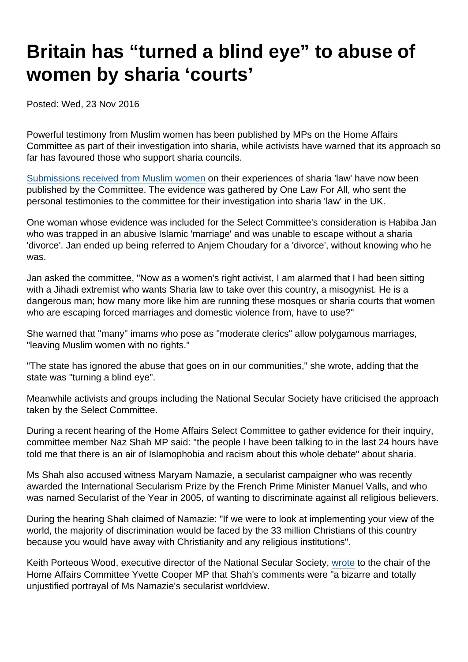## Britain has "turned a blind eye" to abuse of women by sharia 'courts'

Posted: Wed, 23 Nov 2016

Powerful testimony from Muslim women has been published by MPs on the Home Affairs Committee as part of their investigation into sharia, while activists have warned that its approach so far has favoured those who support sharia councils.

[Submissions received from Muslim women](http://data.parliament.uk/writtenevidence/committeeevidence.svc/evidencedocument/home-affairs-committee/sharia-councils/written/43339.html) on their experiences of sharia 'law' have now been published by the Committee. The evidence was gathered by One Law For All, who sent the personal testimonies to the committee for their investigation into sharia 'law' in the UK.

One woman whose evidence was included for the Select Committee's consideration is Habiba Jan who was trapped in an abusive Islamic 'marriage' and was unable to escape without a sharia 'divorce'. Jan ended up being referred to Anjem Choudary for a 'divorce', without knowing who he was.

Jan asked the committee, "Now as a women's right activist, I am alarmed that I had been sitting with a Jihadi extremist who wants Sharia law to take over this country, a misogynist. He is a dangerous man; how many more like him are running these mosques or sharia courts that women who are escaping forced marriages and domestic violence from, have to use?"

She warned that "many" imams who pose as "moderate clerics" allow polygamous marriages, "leaving Muslim women with no rights."

"The state has ignored the abuse that goes on in our communities," she wrote, adding that the state was "turning a blind eye".

Meanwhile activists and groups including the National Secular Society have criticised the approach taken by the Select Committee.

During a recent hearing of the Home Affairs Select Committee to gather evidence for their inquiry, committee member Naz Shah MP said: "the people I have been talking to in the last 24 hours have told me that there is an air of Islamophobia and racism about this whole debate" about sharia.

Ms Shah also accused witness Maryam Namazie, a secularist campaigner who was recently awarded the International Secularism Prize by the French Prime Minister Manuel Valls, and who was named Secularist of the Year in 2005, of wanting to discriminate against all religious believers.

During the hearing Shah claimed of Namazie: "If we were to look at implementing your view of the world, the majority of discrimination would be faced by the 33 million Christians of this country because you would have away with Christianity and any religious institutions".

Keith Porteous Wood, executive director of the National Secular Society, [wrote](http://data.parliament.uk/writtenevidence/committeeevidence.svc/evidencedocument/home-affairs-committee/sharia-councils/written/43237.html) to the chair of the Home Affairs Committee Yvette Cooper MP that Shah's comments were "a bizarre and totally unjustified portrayal of Ms Namazie's secularist worldview.